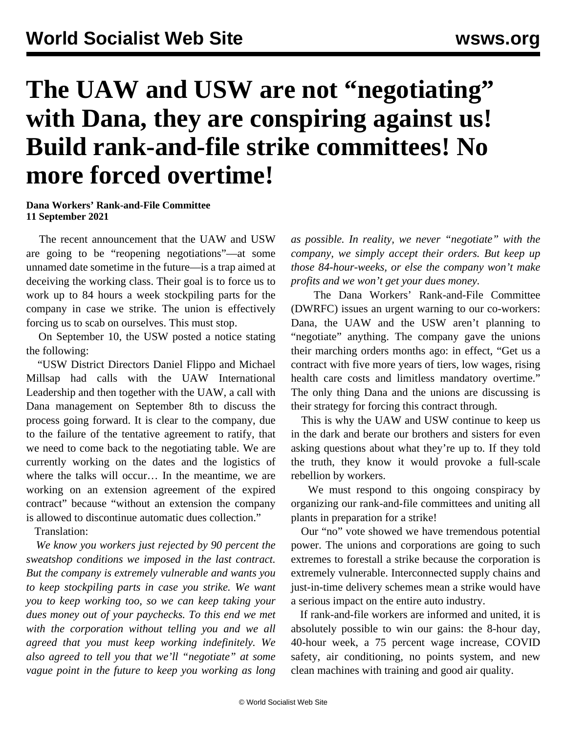## **The UAW and USW are not "negotiating" with Dana, they are conspiring against us! Build rank-and-file strike committees! No more forced overtime!**

## **Dana Workers' Rank-and-File Committee 11 September 2021**

 The recent announcement that the UAW and USW are going to be "reopening negotiations"—at some unnamed date sometime in the future—is a trap aimed at deceiving the working class. Their goal is to force us to work up to 84 hours a week stockpiling parts for the company in case we strike. The union is effectively forcing us to scab on ourselves. This must stop.

 On September 10, the USW posted a notice stating the following:

 "USW District Directors Daniel Flippo and Michael Millsap had calls with the UAW International Leadership and then together with the UAW, a call with Dana management on September 8th to discuss the process going forward. It is clear to the company, due to the failure of the tentative agreement to ratify, that we need to come back to the negotiating table. We are currently working on the dates and the logistics of where the talks will occur… In the meantime, we are working on an extension agreement of the expired contract" because "without an extension the company is allowed to discontinue automatic dues collection."

Translation:

 *We know you workers just rejected by 90 percent the sweatshop conditions we imposed in the last contract. But the company is extremely vulnerable and wants you to keep stockpiling parts in case you strike. We want you to keep working too, so we can keep taking your dues money out of your paychecks. To this end we met with the corporation without telling you and we all agreed that you must keep working indefinitely. We also agreed to tell you that we'll "negotiate" at some vague point in the future to keep you working as long*

*as possible. In reality, we never "negotiate" with the company, we simply accept their orders. But keep up those 84-hour-weeks, or else the company won't make profits and we won't get your dues money.*

 The Dana Workers' Rank-and-File Committee (DWRFC) issues an urgent warning to our co-workers: Dana, the UAW and the USW aren't planning to "negotiate" anything. The company gave the unions their marching orders months ago: in effect, "Get us a contract with five more years of tiers, low wages, rising health care costs and limitless mandatory overtime." The only thing Dana and the unions are discussing is their strategy for forcing this contract through.

 This is why the UAW and USW continue to keep us in the dark and berate our brothers and sisters for even asking questions about what they're up to. If they told the truth, they know it would provoke a full-scale rebellion by workers.

We must respond to this ongoing conspiracy by organizing our rank-and-file committees and uniting all plants in preparation for a strike!

 Our "no" vote showed we have tremendous potential power. The unions and corporations are going to such extremes to forestall a strike because the corporation is extremely vulnerable. Interconnected supply chains and just-in-time delivery schemes mean a strike would have a serious impact on the entire auto industry.

 If rank-and-file workers are informed and united, it is absolutely possible to win our gains: the 8-hour day, 40-hour week, a 75 percent wage increase, COVID safety, air conditioning, no points system, and new clean machines with training and good air quality.